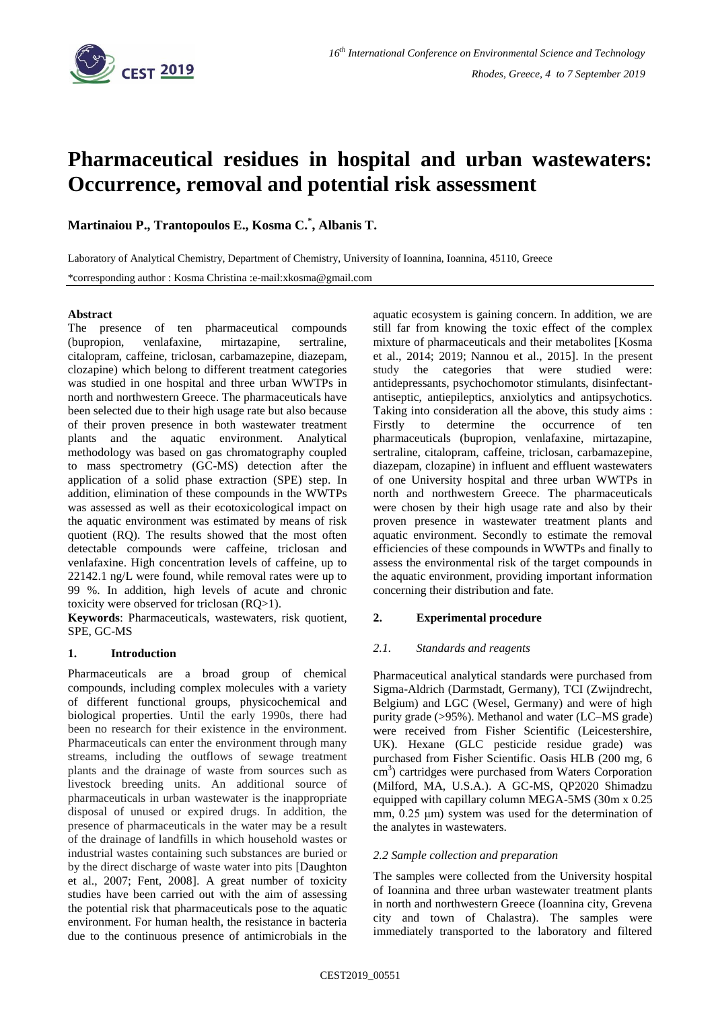

# **Pharmaceutical residues in hospital and urban wastewaters: Occurrence, removal and potential risk assessment**

**Martinaiou P., Trantopoulos E., Kosma C.\* , Albanis T.**

Laboratory of Analytical Chemistry, Department of Chemistry, University of Ioannina, Ioannina, 45110, Greece \*corresponding author : Kosma Christina :e-mail:xkosma@gmail.com

## **Abstract**

The presence of ten pharmaceutical compounds (bupropion, venlafaxine, mirtazapine, sertraline, citalopram, caffeine, triclosan, carbamazepine, diazepam, clozapine) which belong to different treatment categories was studied in one hospital and three urban WWTPs in north and northwestern Greece. The pharmaceuticals have been selected due to their high usage rate but also because of their proven presence in both wastewater treatment plants and the aquatic environment. Analytical methodology was based on gas chromatography coupled to mass spectrometry (GC-MS) detection after the application of a solid phase extraction (SPE) step. In addition, elimination of these compounds in the WWTPs was assessed as well as their ecotoxicological impact on the aquatic environment was estimated by means of risk quotient (RQ). The results showed that the most often detectable compounds were caffeine, triclosan and venlafaxine. High concentration levels of caffeine, up to 22142.1 ng/L were found, while removal rates were up to 99 %. In addition, high levels of acute and chronic toxicity were observed for triclosan (RQ>1).

**Keywords**: Pharmaceuticals, wastewaters, risk quotient, SPE, GC-MS

## **1. Introduction**

Pharmaceuticals are a broad group of chemical compounds, including complex molecules with a variety of different functional groups, physicochemical and biological properties. Until the early 1990s, there had been no research for their existence in the environment. Pharmaceuticals can enter the environment through many streams, including the outflows of sewage treatment plants and the drainage of waste from sources such as livestock breeding units. An additional source of pharmaceuticals in urban wastewater is the inappropriate disposal of unused or expired drugs. In addition, the presence of pharmaceuticals in the water may be a result of the drainage of landfills in which household wastes or industrial wastes containing such substances are buried or by the direct discharge of waste water into pits [Daughton et al., 2007; Fent, 2008]. A great number of toxicity studies have been carried out with the aim of assessing the potential risk that pharmaceuticals pose to the aquatic environment. For human health, the resistance in bacteria due to the continuous presence of antimicrobials in the aquatic ecosystem is gaining concern. In addition, we are still far from knowing the toxic effect of the complex mixture of pharmaceuticals and their metabolites [Kosma et al., 2014; 2019; Nannou et al., 2015]. In the present study the categories that were studied were: antidepressants, psychochomotor stimulants, disinfectantantiseptic, antiepileptics, anxiolytics and antipsychotics. Taking into consideration all the above, this study aims : Firstly to determine the occurrence of ten pharmaceuticals (bupropion, venlafaxine, mirtazapine, sertraline, citalopram, caffeine, triclosan, carbamazepine, diazepam, clozapine) in influent and effluent wastewaters of one University hospital and three urban WWTPs in north and northwestern Greece. The pharmaceuticals were chosen by their high usage rate and also by their proven presence in wastewater treatment plants and aquatic environment. Secondly to estimate the removal efficiencies of these compounds in WWTPs and finally to assess the environmental risk of the target compounds in the aquatic environment, providing important information concerning their distribution and fate.

## **2. Experimental procedure**

## *2.1. Standards and reagents*

Pharmaceutical analytical standards were purchased from Sigma-Aldrich (Darmstadt, Germany), TCI (Zwijndrecht, Belgium) and LGC (Wesel, Germany) and were of high purity grade (>95%). Methanol and water (LC–MS grade) were received from Fisher Scientific (Leicestershire, UK). Hexane (GLC pesticide residue grade) was purchased from Fisher Scientific. Oasis HLB (200 mg, 6 cm<sup>3</sup>) cartridges were purchased from Waters Corporation (Milford, MA, U.S.A.). A GC-MS, QP2020 Shimadzu equipped with capillary column MEGA-5MS (30m x 0.25 mm,  $0.25 \mu m$ ) system was used for the determination of the analytes in wastewaters.

## *2.2 Sample collection and preparation*

The samples were collected from the University hospital of Ioannina and three urban wastewater treatment plants in north and northwestern Greece (Ioannina city, Grevena city and town of Chalastra). The samples were immediately transported to the laboratory and filtered